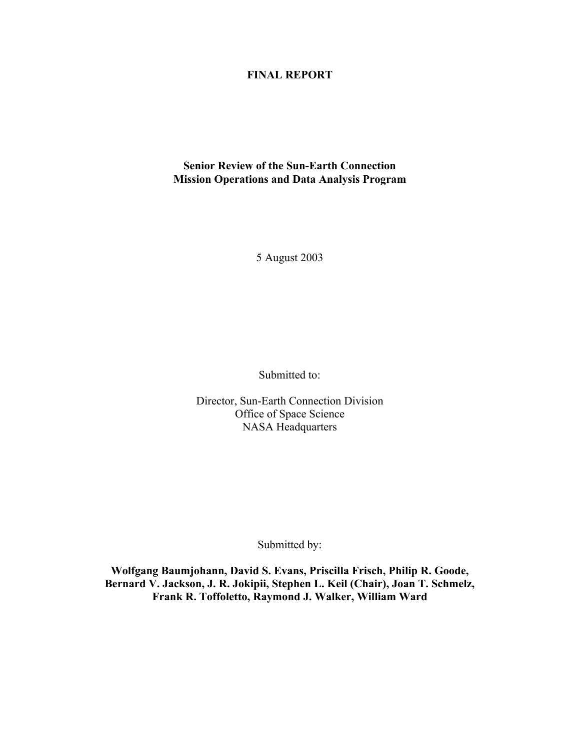#### **FINAL REPORT**

#### **Senior Review of the Sun-Earth Connection Mission Operations and Data Analysis Program**

5 August 2003

Submitted to:

Director, Sun-Earth Connection Division Office of Space Science NASA Headquarters

Submitted by:

**Wolfgang Baumjohann, David S. Evans, Priscilla Frisch, Philip R. Goode, Bernard V. Jackson, J. R. Jokipii, Stephen L. Keil (Chair), Joan T. Schmelz, Frank R. Toffoletto, Raymond J. Walker, William Ward**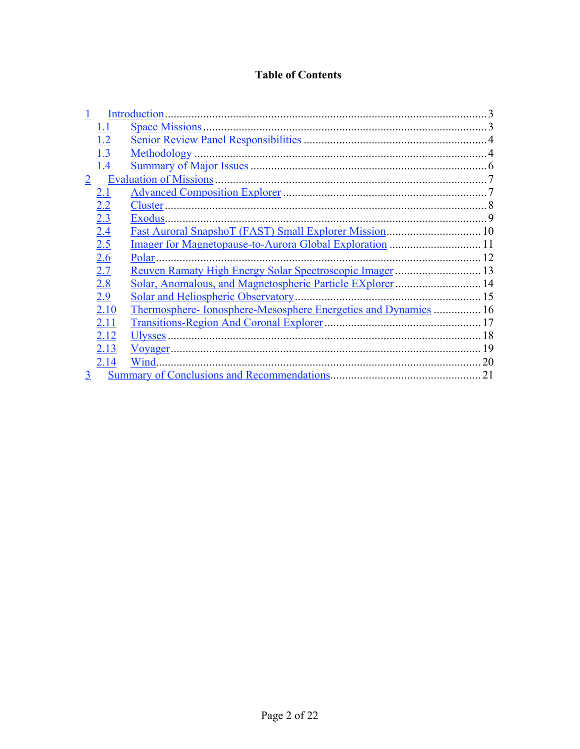### **Table of Contents**

|                |            | <b>Introduction</b>                                            |    |
|----------------|------------|----------------------------------------------------------------|----|
|                | 1.1        | <b>Space Missions</b> .                                        |    |
|                | 1.2        |                                                                |    |
|                | 1.3        | Methodology                                                    |    |
|                | 1.4        |                                                                |    |
| $\overline{2}$ |            | <b>Evaluation of Missions</b>                                  |    |
|                | 2.1        |                                                                |    |
|                | 2.2        | Cluster.                                                       |    |
|                | 2.3        | Exodus.                                                        | 9  |
|                | 2.4        |                                                                |    |
|                | 2.5        |                                                                |    |
|                | <u>2.6</u> | Polar.<br>12                                                   |    |
|                | 2.7        |                                                                |    |
|                | 2.8        | Solar, Anomalous, and Magnetospheric Particle EXplorer  14     |    |
|                | 2.9        | Solar and Heliospheric Observatory.                            |    |
|                | 2.10       | Thermosphere-Ionosphere-Mesosphere Energetics and Dynamics  16 |    |
|                | 2.11       |                                                                |    |
|                | 2.12       | Ulysses.                                                       | 18 |
|                | 2.13       |                                                                | 19 |
|                | 2.14       | Wind.                                                          | 20 |
| 3              |            |                                                                | 21 |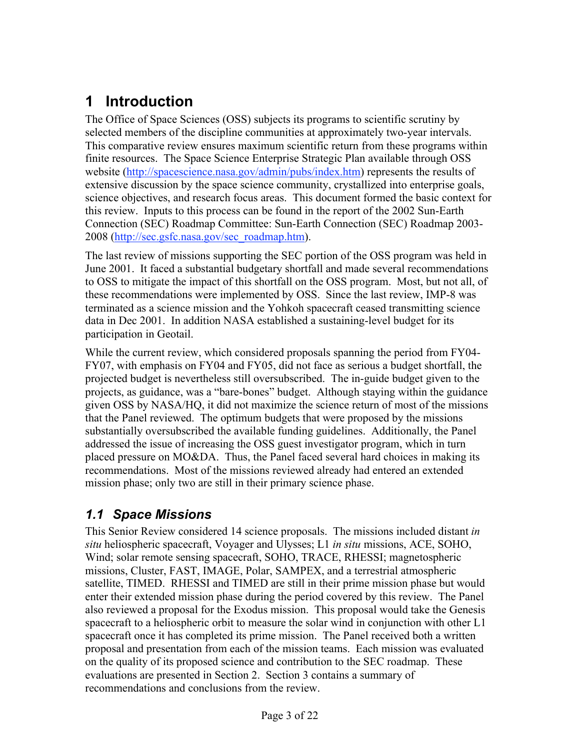# **1 Introduction**

The Office of Space Sciences (OSS) subjects its programs to scientific scrutiny by selected members of the discipline communities at approximately two-year intervals. This comparative review ensures maximum scientific return from these programs within finite resources. The Space Science Enterprise Strategic Plan available through OSS website (http://spacescience.nasa.gov/admin/pubs/index.htm) represents the results of extensive discussion by the space science community, crystallized into enterprise goals, science objectives, and research focus areas. This document formed the basic context for this review. Inputs to this process can be found in the report of the 2002 Sun-Earth Connection (SEC) Roadmap Committee: Sun-Earth Connection (SEC) Roadmap 2003- 2008 (http://sec.gsfc.nasa.gov/sec\_roadmap.htm).

The last review of missions supporting the SEC portion of the OSS program was held in June 2001. It faced a substantial budgetary shortfall and made several recommendations to OSS to mitigate the impact of this shortfall on the OSS program. Most, but not all, of these recommendations were implemented by OSS. Since the last review, IMP-8 was terminated as a science mission and the Yohkoh spacecraft ceased transmitting science data in Dec 2001. In addition NASA established a sustaining-level budget for its participation in Geotail.

While the current review, which considered proposals spanning the period from FY04- FY07, with emphasis on FY04 and FY05, did not face as serious a budget shortfall, the projected budget is nevertheless still oversubscribed. The in-guide budget given to the projects, as guidance, was a "bare-bones" budget. Although staying within the guidance given OSS by NASA/HQ, it did not maximize the science return of most of the missions that the Panel reviewed. The optimum budgets that were proposed by the missions substantially oversubscribed the available funding guidelines. Additionally, the Panel addressed the issue of increasing the OSS guest investigator program, which in turn placed pressure on MO&DA. Thus, the Panel faced several hard choices in making its recommendations. Most of the missions reviewed already had entered an extended mission phase; only two are still in their primary science phase.

### *1.1 Space Missions*

This Senior Review considered 14 science proposals. The missions included distant *in situ* heliospheric spacecraft, Voyager and Ulysses; L1 *in situ* missions, ACE, SOHO, Wind; solar remote sensing spacecraft, SOHO, TRACE, RHESSI; magnetospheric missions, Cluster, FAST, IMAGE, Polar, SAMPEX, and a terrestrial atmospheric satellite, TIMED. RHESSI and TIMED are still in their prime mission phase but would enter their extended mission phase during the period covered by this review. The Panel also reviewed a proposal for the Exodus mission. This proposal would take the Genesis spacecraft to a heliospheric orbit to measure the solar wind in conjunction with other L1 spacecraft once it has completed its prime mission. The Panel received both a written proposal and presentation from each of the mission teams. Each mission was evaluated on the quality of its proposed science and contribution to the SEC roadmap. These evaluations are presented in Section 2. Section 3 contains a summary of recommendations and conclusions from the review.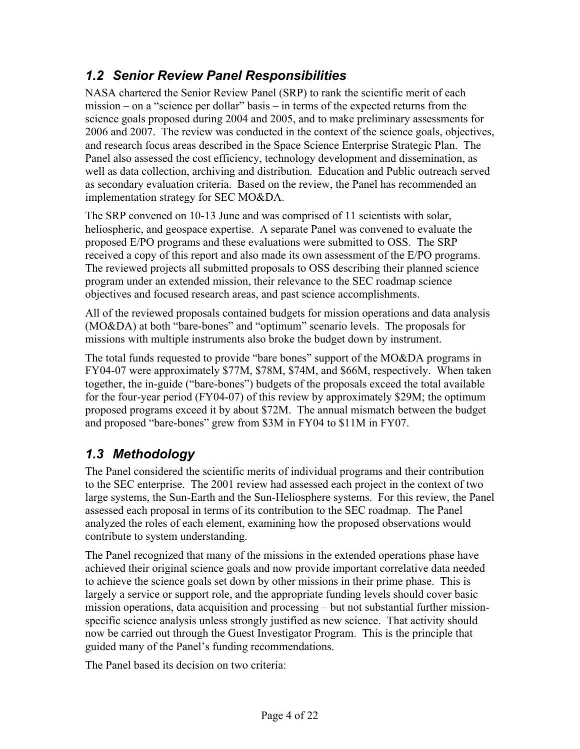### *1.2 Senior Review Panel Responsibilities*

NASA chartered the Senior Review Panel (SRP) to rank the scientific merit of each mission – on a "science per dollar" basis – in terms of the expected returns from the science goals proposed during 2004 and 2005, and to make preliminary assessments for 2006 and 2007. The review was conducted in the context of the science goals, objectives, and research focus areas described in the Space Science Enterprise Strategic Plan. The Panel also assessed the cost efficiency, technology development and dissemination, as well as data collection, archiving and distribution. Education and Public outreach served as secondary evaluation criteria. Based on the review, the Panel has recommended an implementation strategy for SEC MO&DA.

The SRP convened on 10-13 June and was comprised of 11 scientists with solar, heliospheric, and geospace expertise. A separate Panel was convened to evaluate the proposed E/PO programs and these evaluations were submitted to OSS. The SRP received a copy of this report and also made its own assessment of the E/PO programs. The reviewed projects all submitted proposals to OSS describing their planned science program under an extended mission, their relevance to the SEC roadmap science objectives and focused research areas, and past science accomplishments.

All of the reviewed proposals contained budgets for mission operations and data analysis (MO&DA) at both "bare-bones" and "optimum" scenario levels. The proposals for missions with multiple instruments also broke the budget down by instrument.

The total funds requested to provide "bare bones" support of the MO&DA programs in FY04-07 were approximately \$77M, \$78M, \$74M, and \$66M, respectively. When taken together, the in-guide ("bare-bones") budgets of the proposals exceed the total available for the four-year period (FY04-07) of this review by approximately \$29M; the optimum proposed programs exceed it by about \$72M. The annual mismatch between the budget and proposed "bare-bones" grew from \$3M in FY04 to \$11M in FY07.

# *1.3 Methodology*

The Panel considered the scientific merits of individual programs and their contribution to the SEC enterprise. The 2001 review had assessed each project in the context of two large systems, the Sun-Earth and the Sun-Heliosphere systems. For this review, the Panel assessed each proposal in terms of its contribution to the SEC roadmap. The Panel analyzed the roles of each element, examining how the proposed observations would contribute to system understanding.

The Panel recognized that many of the missions in the extended operations phase have achieved their original science goals and now provide important correlative data needed to achieve the science goals set down by other missions in their prime phase. This is largely a service or support role, and the appropriate funding levels should cover basic mission operations, data acquisition and processing – but not substantial further missionspecific science analysis unless strongly justified as new science. That activity should now be carried out through the Guest Investigator Program. This is the principle that guided many of the Panel's funding recommendations.

The Panel based its decision on two criteria: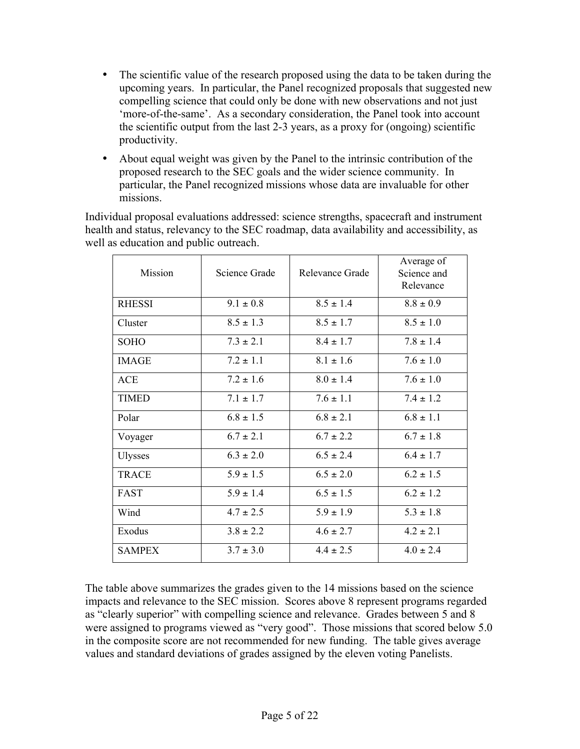The scientific value of the research proposed using the data to be taken during the upcoming years. In particular, the Panel recognized proposals that suggested new compelling science that could only be done with new observations and not just 'more-of-the-same'. As a secondary consideration, the Panel took into account the scientific output from the last 2-3 years, as a proxy for (ongoing) scientific productivity.

About equal weight was given by the Panel to the intrinsic contribution of the proposed research to the SEC goals and the wider science community. In particular, the Panel recognized missions whose data are invaluable for other missions.

Individual proposal evaluations addressed: science strengths, spacecraft and instrument health and status, relevancy to the SEC roadmap, data availability and accessibility, as well as education and public outreach.

| Mission        | Science Grade | Relevance Grade | Average of<br>Science and<br>Relevance |
|----------------|---------------|-----------------|----------------------------------------|
| <b>RHESSI</b>  | $9.1 \pm 0.8$ | $8.5 \pm 1.4$   | $8.8 \pm 0.9$                          |
| Cluster        | $8.5 \pm 1.3$ | $8.5 \pm 1.7$   | $8.5 \pm 1.0$                          |
| <b>SOHO</b>    | $7.3 \pm 2.1$ | $8.4 \pm 1.7$   | $7.8 \pm 1.4$                          |
| <b>IMAGE</b>   | $7.2 \pm 1.1$ | $8.1 \pm 1.6$   | $7.6 \pm 1.0$                          |
| ACE            | $7.2 \pm 1.6$ | $8.0 \pm 1.4$   | $76 \pm 10$                            |
| <b>TIMED</b>   | $7.1 \pm 1.7$ | $7.6 \pm 1.1$   | $7.4 \pm 1.2$                          |
| Polar          | $6.8 \pm 1.5$ | $6.8 \pm 2.1$   | $68 \pm 11$                            |
| Voyager        | $6.7 \pm 2.1$ | $6.7 \pm 2.2$   | $6.7 \pm 1.8$                          |
| <b>Ulysses</b> | $6.3 \pm 2.0$ | $6.5 \pm 2.4$   | $6.4 \pm 1.7$                          |
| <b>TRACE</b>   | $5.9 \pm 1.5$ | $6.5 \pm 2.0$   | $6.2 \pm 1.5$                          |
| FAST           | $5.9 \pm 1.4$ | $6.5 \pm 1.5$   | $6.2 \pm 1.2$                          |
| Wind           | $4.7 \pm 2.5$ | $5.9 \pm 1.9$   | $5.3 \pm 1.8$                          |
| Exodus         | $3.8 \pm 2.2$ | $4.6 \pm 2.7$   | $4.2 \pm 2.1$                          |
| <b>SAMPEX</b>  | $3.7 \pm 3.0$ | $4.4 \pm 2.5$   | $4.0 \pm 2.4$                          |

The table above summarizes the grades given to the 14 missions based on the science impacts and relevance to the SEC mission. Scores above 8 represent programs regarded as "clearly superior" with compelling science and relevance. Grades between 5 and 8 were assigned to programs viewed as "very good". Those missions that scored below 5.0 in the composite score are not recommended for new funding. The table gives average values and standard deviations of grades assigned by the eleven voting Panelists.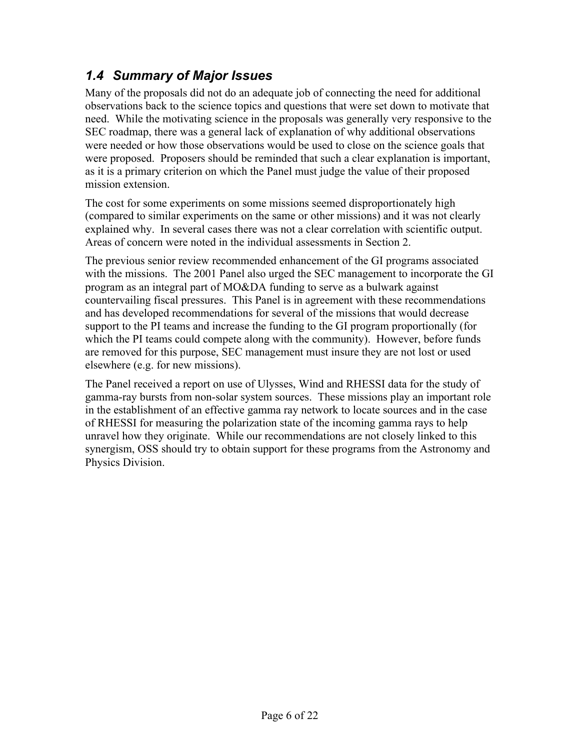# *1.4 Summary of Major Issues*

Many of the proposals did not do an adequate job of connecting the need for additional observations back to the science topics and questions that were set down to motivate that need. While the motivating science in the proposals was generally very responsive to the SEC roadmap, there was a general lack of explanation of why additional observations were needed or how those observations would be used to close on the science goals that were proposed. Proposers should be reminded that such a clear explanation is important, as it is a primary criterion on which the Panel must judge the value of their proposed mission extension.

The cost for some experiments on some missions seemed disproportionately high (compared to similar experiments on the same or other missions) and it was not clearly explained why. In several cases there was not a clear correlation with scientific output. Areas of concern were noted in the individual assessments in Section 2.

The previous senior review recommended enhancement of the GI programs associated with the missions. The 2001 Panel also urged the SEC management to incorporate the GI program as an integral part of MO&DA funding to serve as a bulwark against countervailing fiscal pressures. This Panel is in agreement with these recommendations and has developed recommendations for several of the missions that would decrease support to the PI teams and increase the funding to the GI program proportionally (for which the PI teams could compete along with the community). However, before funds are removed for this purpose, SEC management must insure they are not lost or used elsewhere (e.g. for new missions).

The Panel received a report on use of Ulysses, Wind and RHESSI data for the study of gamma-ray bursts from non-solar system sources. These missions play an important role in the establishment of an effective gamma ray network to locate sources and in the case of RHESSI for measuring the polarization state of the incoming gamma rays to help unravel how they originate. While our recommendations are not closely linked to this synergism, OSS should try to obtain support for these programs from the Astronomy and Physics Division.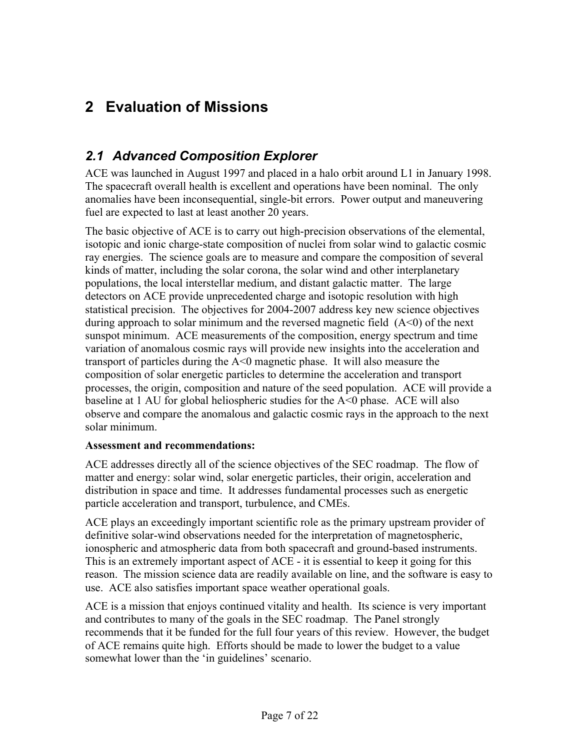# **2 Evaluation of Missions**

### *2.1 Advanced Composition Explorer*

ACE was launched in August 1997 and placed in a halo orbit around L1 in January 1998. The spacecraft overall health is excellent and operations have been nominal. The only anomalies have been inconsequential, single-bit errors. Power output and maneuvering fuel are expected to last at least another 20 years.

The basic objective of ACE is to carry out high-precision observations of the elemental, isotopic and ionic charge-state composition of nuclei from solar wind to galactic cosmic ray energies. The science goals are to measure and compare the composition of several kinds of matter, including the solar corona, the solar wind and other interplanetary populations, the local interstellar medium, and distant galactic matter. The large detectors on ACE provide unprecedented charge and isotopic resolution with high statistical precision. The objectives for 2004-2007 address key new science objectives during approach to solar minimum and the reversed magnetic field  $(A<0)$  of the next sunspot minimum. ACE measurements of the composition, energy spectrum and time variation of anomalous cosmic rays will provide new insights into the acceleration and transport of particles during the A<0 magnetic phase. It will also measure the composition of solar energetic particles to determine the acceleration and transport processes, the origin, composition and nature of the seed population. ACE will provide a baseline at 1 AU for global heliospheric studies for the  $A \le 0$  phase. ACE will also observe and compare the anomalous and galactic cosmic rays in the approach to the next solar minimum.

### **Assessment and recommendations:**

ACE addresses directly all of the science objectives of the SEC roadmap. The flow of matter and energy: solar wind, solar energetic particles, their origin, acceleration and distribution in space and time. It addresses fundamental processes such as energetic particle acceleration and transport, turbulence, and CMEs.

ACE plays an exceedingly important scientific role as the primary upstream provider of definitive solar-wind observations needed for the interpretation of magnetospheric, ionospheric and atmospheric data from both spacecraft and ground-based instruments. This is an extremely important aspect of ACE - it is essential to keep it going for this reason. The mission science data are readily available on line, and the software is easy to use. ACE also satisfies important space weather operational goals.

ACE is a mission that enjoys continued vitality and health. Its science is very important and contributes to many of the goals in the SEC roadmap. The Panel strongly recommends that it be funded for the full four years of this review. However, the budget of ACE remains quite high. Efforts should be made to lower the budget to a value somewhat lower than the 'in guidelines' scenario.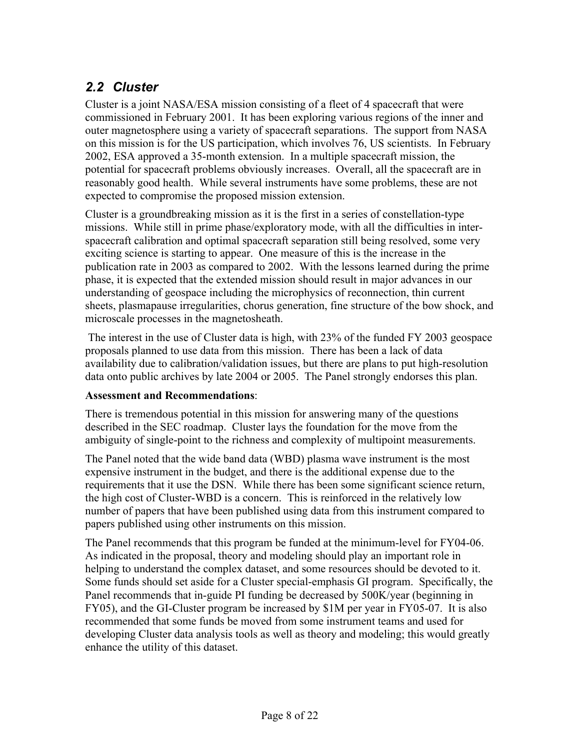# *2.2 Cluster*

Cluster is a joint NASA/ESA mission consisting of a fleet of 4 spacecraft that were commissioned in February 2001. It has been exploring various regions of the inner and outer magnetosphere using a variety of spacecraft separations. The support from NASA on this mission is for the US participation, which involves 76, US scientists. In February 2002, ESA approved a 35-month extension. In a multiple spacecraft mission, the potential for spacecraft problems obviously increases. Overall, all the spacecraft are in reasonably good health. While several instruments have some problems, these are not expected to compromise the proposed mission extension.

Cluster is a groundbreaking mission as it is the first in a series of constellation-type missions. While still in prime phase/exploratory mode, with all the difficulties in interspacecraft calibration and optimal spacecraft separation still being resolved, some very exciting science is starting to appear. One measure of this is the increase in the publication rate in 2003 as compared to 2002. With the lessons learned during the prime phase, it is expected that the extended mission should result in major advances in our understanding of geospace including the microphysics of reconnection, thin current sheets, plasmapause irregularities, chorus generation, fine structure of the bow shock, and microscale processes in the magnetosheath.

 The interest in the use of Cluster data is high, with 23% of the funded FY 2003 geospace proposals planned to use data from this mission. There has been a lack of data availability due to calibration/validation issues, but there are plans to put high-resolution data onto public archives by late 2004 or 2005. The Panel strongly endorses this plan.

### **Assessment and Recommendations**:

There is tremendous potential in this mission for answering many of the questions described in the SEC roadmap. Cluster lays the foundation for the move from the ambiguity of single-point to the richness and complexity of multipoint measurements.

The Panel noted that the wide band data (WBD) plasma wave instrument is the most expensive instrument in the budget, and there is the additional expense due to the requirements that it use the DSN. While there has been some significant science return, the high cost of Cluster-WBD is a concern. This is reinforced in the relatively low number of papers that have been published using data from this instrument compared to papers published using other instruments on this mission.

The Panel recommends that this program be funded at the minimum-level for FY04-06. As indicated in the proposal, theory and modeling should play an important role in helping to understand the complex dataset, and some resources should be devoted to it. Some funds should set aside for a Cluster special-emphasis GI program. Specifically, the Panel recommends that in-guide PI funding be decreased by 500K/year (beginning in FY05), and the GI-Cluster program be increased by \$1M per year in FY05-07. It is also recommended that some funds be moved from some instrument teams and used for developing Cluster data analysis tools as well as theory and modeling; this would greatly enhance the utility of this dataset.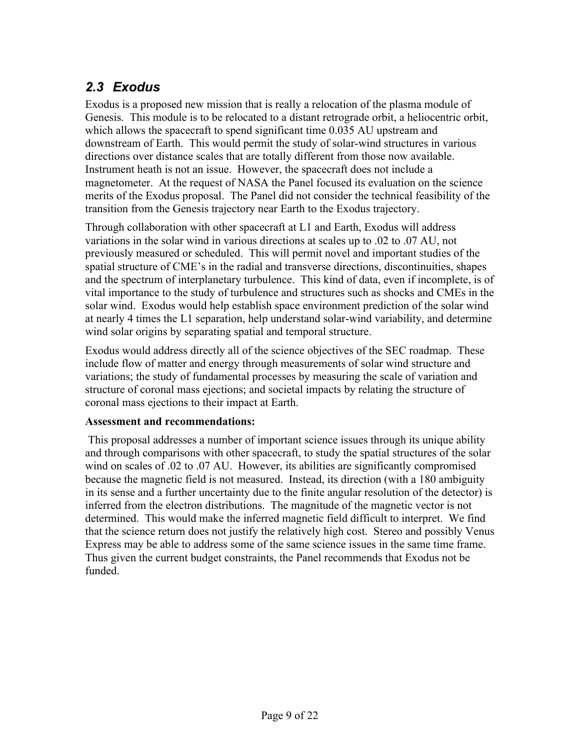# *2.3 Exodus*

Exodus is a proposed new mission that is really a relocation of the plasma module of Genesis. This module is to be relocated to a distant retrograde orbit, a heliocentric orbit, which allows the spacecraft to spend significant time 0.035 AU upstream and downstream of Earth. This would permit the study of solar-wind structures in various directions over distance scales that are totally different from those now available. Instrument heath is not an issue. However, the spacecraft does not include a magnetometer. At the request of NASA the Panel focused its evaluation on the science merits of the Exodus proposal. The Panel did not consider the technical feasibility of the transition from the Genesis trajectory near Earth to the Exodus trajectory.

Through collaboration with other spacecraft at L1 and Earth, Exodus will address variations in the solar wind in various directions at scales up to .02 to .07 AU, not previously measured or scheduled. This will permit novel and important studies of the spatial structure of CME's in the radial and transverse directions, discontinuities, shapes and the spectrum of interplanetary turbulence. This kind of data, even if incomplete, is of vital importance to the study of turbulence and structures such as shocks and CMEs in the solar wind. Exodus would help establish space environment prediction of the solar wind at nearly 4 times the L1 separation, help understand solar-wind variability, and determine wind solar origins by separating spatial and temporal structure.

Exodus would address directly all of the science objectives of the SEC roadmap. These include flow of matter and energy through measurements of solar wind structure and variations; the study of fundamental processes by measuring the scale of variation and structure of coronal mass ejections; and societal impacts by relating the structure of coronal mass ejections to their impact at Earth.

### **Assessment and recommendations:**

 This proposal addresses a number of important science issues through its unique ability and through comparisons with other spacecraft, to study the spatial structures of the solar wind on scales of .02 to .07 AU. However, its abilities are significantly compromised because the magnetic field is not measured. Instead, its direction (with a 180 ambiguity in its sense and a further uncertainty due to the finite angular resolution of the detector) is inferred from the electron distributions. The magnitude of the magnetic vector is not determined. This would make the inferred magnetic field difficult to interpret. We find that the science return does not justify the relatively high cost. Stereo and possibly Venus Express may be able to address some of the same science issues in the same time frame. Thus given the current budget constraints, the Panel recommends that Exodus not be funded.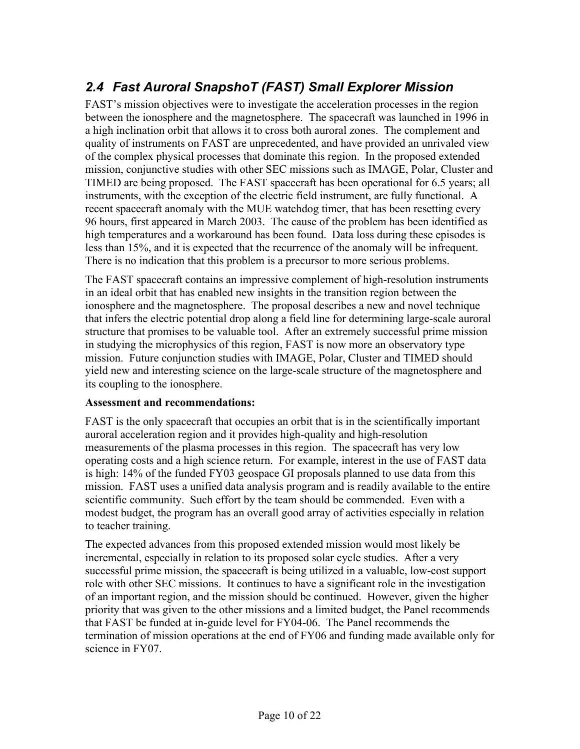# *2.4 Fast Auroral SnapshoT (FAST) Small Explorer Mission*

FAST's mission objectives were to investigate the acceleration processes in the region between the ionosphere and the magnetosphere. The spacecraft was launched in 1996 in a high inclination orbit that allows it to cross both auroral zones. The complement and quality of instruments on FAST are unprecedented, and have provided an unrivaled view of the complex physical processes that dominate this region. In the proposed extended mission, conjunctive studies with other SEC missions such as IMAGE, Polar, Cluster and TIMED are being proposed. The FAST spacecraft has been operational for 6.5 years; all instruments, with the exception of the electric field instrument, are fully functional. A recent spacecraft anomaly with the MUE watchdog timer, that has been resetting every 96 hours, first appeared in March 2003. The cause of the problem has been identified as high temperatures and a workaround has been found. Data loss during these episodes is less than 15%, and it is expected that the recurrence of the anomaly will be infrequent. There is no indication that this problem is a precursor to more serious problems.

The FAST spacecraft contains an impressive complement of high-resolution instruments in an ideal orbit that has enabled new insights in the transition region between the ionosphere and the magnetosphere. The proposal describes a new and novel technique that infers the electric potential drop along a field line for determining large-scale auroral structure that promises to be valuable tool. After an extremely successful prime mission in studying the microphysics of this region, FAST is now more an observatory type mission. Future conjunction studies with IMAGE, Polar, Cluster and TIMED should yield new and interesting science on the large-scale structure of the magnetosphere and its coupling to the ionosphere.

### **Assessment and recommendations:**

FAST is the only spacecraft that occupies an orbit that is in the scientifically important auroral acceleration region and it provides high-quality and high-resolution measurements of the plasma processes in this region. The spacecraft has very low operating costs and a high science return. For example, interest in the use of FAST data is high: 14% of the funded FY03 geospace GI proposals planned to use data from this mission. FAST uses a unified data analysis program and is readily available to the entire scientific community. Such effort by the team should be commended. Even with a modest budget, the program has an overall good array of activities especially in relation to teacher training.

The expected advances from this proposed extended mission would most likely be incremental, especially in relation to its proposed solar cycle studies. After a very successful prime mission, the spacecraft is being utilized in a valuable, low-cost support role with other SEC missions. It continues to have a significant role in the investigation of an important region, and the mission should be continued. However, given the higher priority that was given to the other missions and a limited budget, the Panel recommends that FAST be funded at in-guide level for FY04-06. The Panel recommends the termination of mission operations at the end of FY06 and funding made available only for science in FY07.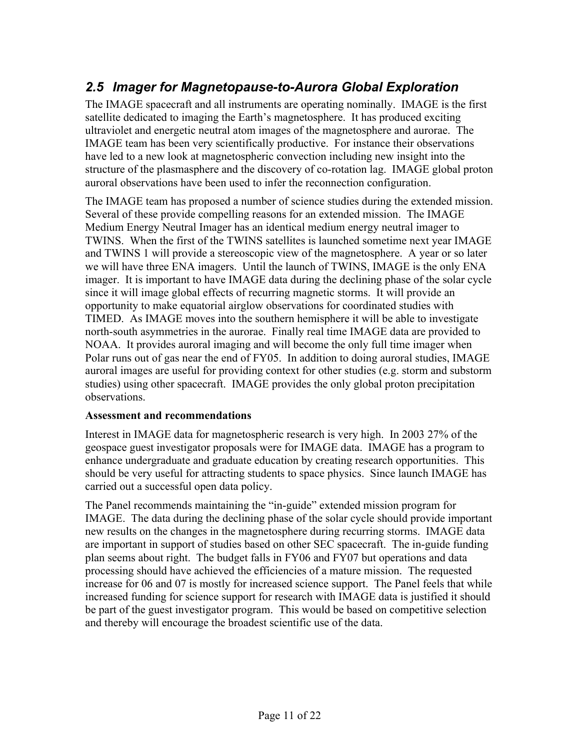# *2.5 Imager for Magnetopause-to-Aurora Global Exploration*

The IMAGE spacecraft and all instruments are operating nominally. IMAGE is the first satellite dedicated to imaging the Earth's magnetosphere. It has produced exciting ultraviolet and energetic neutral atom images of the magnetosphere and aurorae. The IMAGE team has been very scientifically productive. For instance their observations have led to a new look at magnetospheric convection including new insight into the structure of the plasmasphere and the discovery of co-rotation lag. IMAGE global proton auroral observations have been used to infer the reconnection configuration.

The IMAGE team has proposed a number of science studies during the extended mission. Several of these provide compelling reasons for an extended mission. The IMAGE Medium Energy Neutral Imager has an identical medium energy neutral imager to TWINS. When the first of the TWINS satellites is launched sometime next year IMAGE and TWINS 1 will provide a stereoscopic view of the magnetosphere. A year or so later we will have three ENA imagers. Until the launch of TWINS, IMAGE is the only ENA imager. It is important to have IMAGE data during the declining phase of the solar cycle since it will image global effects of recurring magnetic storms. It will provide an opportunity to make equatorial airglow observations for coordinated studies with TIMED. As IMAGE moves into the southern hemisphere it will be able to investigate north-south asymmetries in the aurorae. Finally real time IMAGE data are provided to NOAA. It provides auroral imaging and will become the only full time imager when Polar runs out of gas near the end of FY05. In addition to doing auroral studies, IMAGE auroral images are useful for providing context for other studies (e.g. storm and substorm studies) using other spacecraft. IMAGE provides the only global proton precipitation observations.

### **Assessment and recommendations**

Interest in IMAGE data for magnetospheric research is very high. In 2003 27% of the geospace guest investigator proposals were for IMAGE data. IMAGE has a program to enhance undergraduate and graduate education by creating research opportunities. This should be very useful for attracting students to space physics. Since launch IMAGE has carried out a successful open data policy.

The Panel recommends maintaining the "in-guide" extended mission program for IMAGE. The data during the declining phase of the solar cycle should provide important new results on the changes in the magnetosphere during recurring storms. IMAGE data are important in support of studies based on other SEC spacecraft. The in-guide funding plan seems about right. The budget falls in FY06 and FY07 but operations and data processing should have achieved the efficiencies of a mature mission. The requested increase for 06 and 07 is mostly for increased science support. The Panel feels that while increased funding for science support for research with IMAGE data is justified it should be part of the guest investigator program. This would be based on competitive selection and thereby will encourage the broadest scientific use of the data.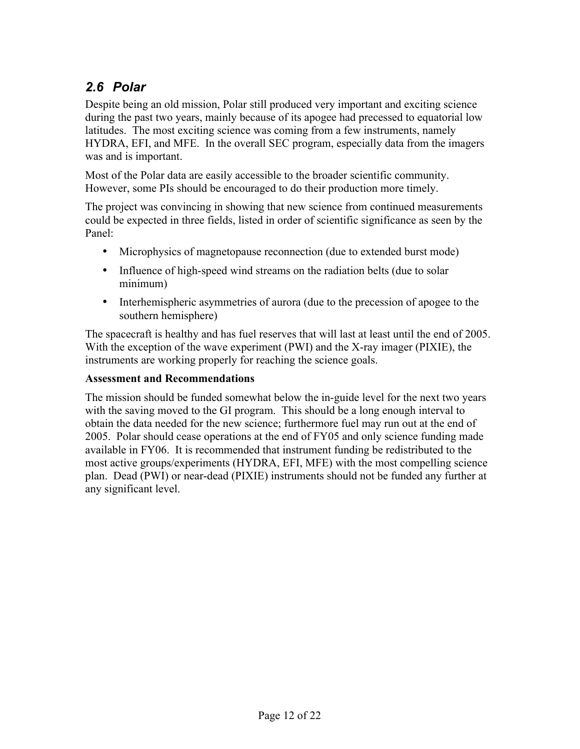# *2.6 Polar*

Despite being an old mission, Polar still produced very important and exciting science during the past two years, mainly because of its apogee had precessed to equatorial low latitudes. The most exciting science was coming from a few instruments, namely HYDRA, EFI, and MFE. In the overall SEC program, especially data from the imagers was and is important.

Most of the Polar data are easily accessible to the broader scientific community. However, some PIs should be encouraged to do their production more timely.

The project was convincing in showing that new science from continued measurements could be expected in three fields, listed in order of scientific significance as seen by the Panel:

Microphysics of magnetopause reconnection (due to extended burst mode)

Influence of high-speed wind streams on the radiation belts (due to solar minimum)

Interhemispheric asymmetries of aurora (due to the precession of apogee to the southern hemisphere)

The spacecraft is healthy and has fuel reserves that will last at least until the end of 2005. With the exception of the wave experiment (PWI) and the X-ray imager (PIXIE), the instruments are working properly for reaching the science goals.

### **Assessment and Recommendations**

The mission should be funded somewhat below the in-guide level for the next two years with the saving moved to the GI program. This should be a long enough interval to obtain the data needed for the new science; furthermore fuel may run out at the end of 2005. Polar should cease operations at the end of FY05 and only science funding made available in FY06. It is recommended that instrument funding be redistributed to the most active groups/experiments (HYDRA, EFI, MFE) with the most compelling science plan. Dead (PWI) or near-dead (PIXIE) instruments should not be funded any further at any significant level.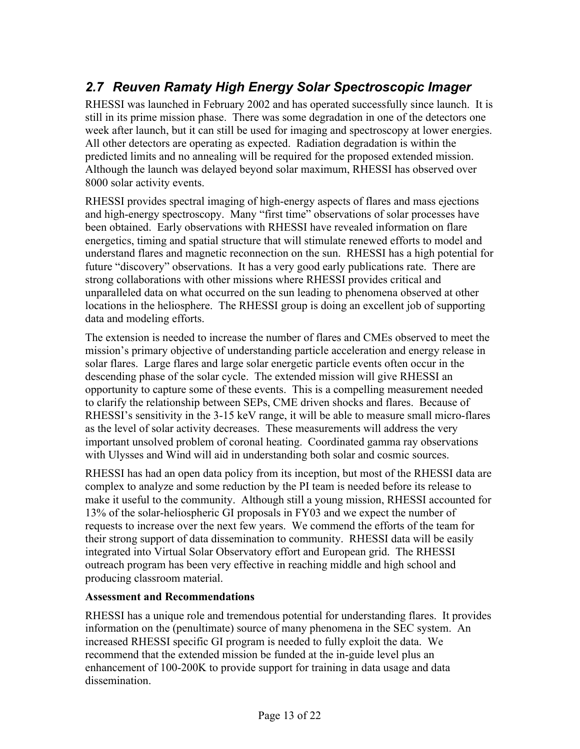# *2.7 Reuven Ramaty High Energy Solar Spectroscopic Imager*

RHESSI was launched in February 2002 and has operated successfully since launch. It is still in its prime mission phase. There was some degradation in one of the detectors one week after launch, but it can still be used for imaging and spectroscopy at lower energies. All other detectors are operating as expected. Radiation degradation is within the predicted limits and no annealing will be required for the proposed extended mission. Although the launch was delayed beyond solar maximum, RHESSI has observed over 8000 solar activity events.

RHESSI provides spectral imaging of high-energy aspects of flares and mass ejections and high-energy spectroscopy. Many "first time" observations of solar processes have been obtained. Early observations with RHESSI have revealed information on flare energetics, timing and spatial structure that will stimulate renewed efforts to model and understand flares and magnetic reconnection on the sun. RHESSI has a high potential for future "discovery" observations. It has a very good early publications rate. There are strong collaborations with other missions where RHESSI provides critical and unparalleled data on what occurred on the sun leading to phenomena observed at other locations in the heliosphere. The RHESSI group is doing an excellent job of supporting data and modeling efforts.

The extension is needed to increase the number of flares and CMEs observed to meet the mission's primary objective of understanding particle acceleration and energy release in solar flares. Large flares and large solar energetic particle events often occur in the descending phase of the solar cycle. The extended mission will give RHESSI an opportunity to capture some of these events. This is a compelling measurement needed to clarify the relationship between SEPs, CME driven shocks and flares. Because of RHESSI's sensitivity in the 3-15 keV range, it will be able to measure small micro-flares as the level of solar activity decreases. These measurements will address the very important unsolved problem of coronal heating. Coordinated gamma ray observations with Ulysses and Wind will aid in understanding both solar and cosmic sources.

RHESSI has had an open data policy from its inception, but most of the RHESSI data are complex to analyze and some reduction by the PI team is needed before its release to make it useful to the community. Although still a young mission, RHESSI accounted for 13% of the solar-heliospheric GI proposals in FY03 and we expect the number of requests to increase over the next few years. We commend the efforts of the team for their strong support of data dissemination to community. RHESSI data will be easily integrated into Virtual Solar Observatory effort and European grid. The RHESSI outreach program has been very effective in reaching middle and high school and producing classroom material.

### **Assessment and Recommendations**

RHESSI has a unique role and tremendous potential for understanding flares. It provides information on the (penultimate) source of many phenomena in the SEC system. An increased RHESSI specific GI program is needed to fully exploit the data. We recommend that the extended mission be funded at the in-guide level plus an enhancement of 100-200K to provide support for training in data usage and data dissemination.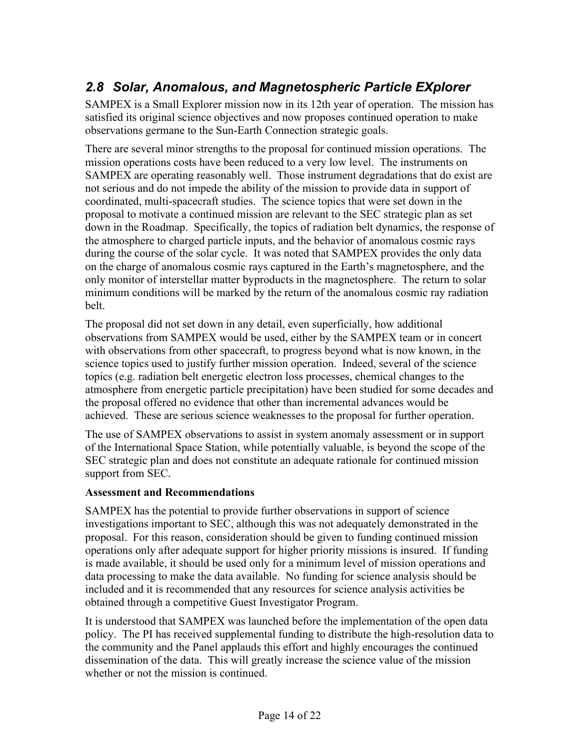# *2.8 Solar, Anomalous, and Magnetospheric Particle EXplorer*

SAMPEX is a Small Explorer mission now in its 12th year of operation. The mission has satisfied its original science objectives and now proposes continued operation to make observations germane to the Sun-Earth Connection strategic goals.

There are several minor strengths to the proposal for continued mission operations. The mission operations costs have been reduced to a very low level. The instruments on SAMPEX are operating reasonably well. Those instrument degradations that do exist are not serious and do not impede the ability of the mission to provide data in support of coordinated, multi-spacecraft studies. The science topics that were set down in the proposal to motivate a continued mission are relevant to the SEC strategic plan as set down in the Roadmap. Specifically, the topics of radiation belt dynamics, the response of the atmosphere to charged particle inputs, and the behavior of anomalous cosmic rays during the course of the solar cycle. It was noted that SAMPEX provides the only data on the charge of anomalous cosmic rays captured in the Earth's magnetosphere, and the only monitor of interstellar matter byproducts in the magnetosphere. The return to solar minimum conditions will be marked by the return of the anomalous cosmic ray radiation belt.

The proposal did not set down in any detail, even superficially, how additional observations from SAMPEX would be used, either by the SAMPEX team or in concert with observations from other spacecraft, to progress beyond what is now known, in the science topics used to justify further mission operation. Indeed, several of the science topics (e.g. radiation belt energetic electron loss processes, chemical changes to the atmosphere from energetic particle precipitation) have been studied for some decades and the proposal offered no evidence that other than incremental advances would be achieved. These are serious science weaknesses to the proposal for further operation.

The use of SAMPEX observations to assist in system anomaly assessment or in support of the International Space Station, while potentially valuable, is beyond the scope of the SEC strategic plan and does not constitute an adequate rationale for continued mission support from SEC.

### **Assessment and Recommendations**

SAMPEX has the potential to provide further observations in support of science investigations important to SEC, although this was not adequately demonstrated in the proposal. For this reason, consideration should be given to funding continued mission operations only after adequate support for higher priority missions is insured. If funding is made available, it should be used only for a minimum level of mission operations and data processing to make the data available. No funding for science analysis should be included and it is recommended that any resources for science analysis activities be obtained through a competitive Guest Investigator Program.

It is understood that SAMPEX was launched before the implementation of the open data policy. The PI has received supplemental funding to distribute the high-resolution data to the community and the Panel applauds this effort and highly encourages the continued dissemination of the data. This will greatly increase the science value of the mission whether or not the mission is continued.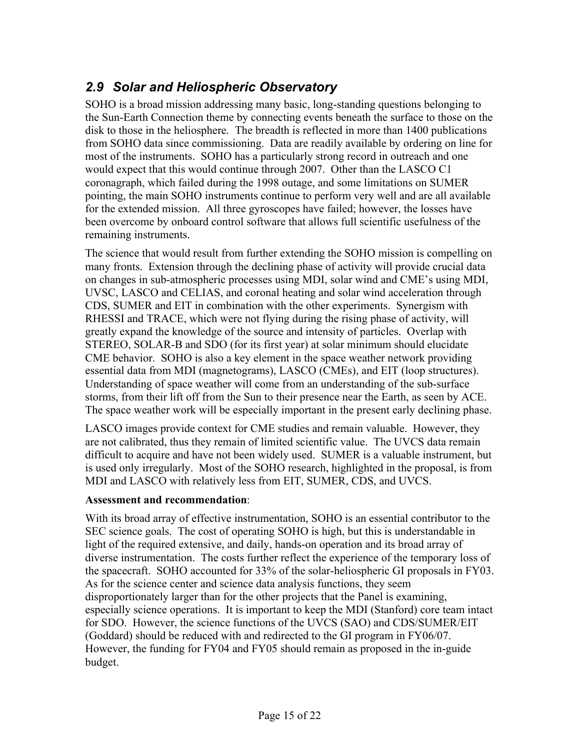# *2.9 Solar and Heliospheric Observatory*

SOHO is a broad mission addressing many basic, long-standing questions belonging to the Sun-Earth Connection theme by connecting events beneath the surface to those on the disk to those in the heliosphere. The breadth is reflected in more than 1400 publications from SOHO data since commissioning. Data are readily available by ordering on line for most of the instruments. SOHO has a particularly strong record in outreach and one would expect that this would continue through 2007. Other than the LASCO C1 coronagraph, which failed during the 1998 outage, and some limitations on SUMER pointing, the main SOHO instruments continue to perform very well and are all available for the extended mission. All three gyroscopes have failed; however, the losses have been overcome by onboard control software that allows full scientific usefulness of the remaining instruments.

The science that would result from further extending the SOHO mission is compelling on many fronts. Extension through the declining phase of activity will provide crucial data on changes in sub-atmospheric processes using MDI, solar wind and CME's using MDI, UVSC, LASCO and CELIAS, and coronal heating and solar wind acceleration through CDS, SUMER and EIT in combination with the other experiments. Synergism with RHESSI and TRACE, which were not flying during the rising phase of activity, will greatly expand the knowledge of the source and intensity of particles. Overlap with STEREO, SOLAR-B and SDO (for its first year) at solar minimum should elucidate CME behavior. SOHO is also a key element in the space weather network providing essential data from MDI (magnetograms), LASCO (CMEs), and EIT (loop structures). Understanding of space weather will come from an understanding of the sub-surface storms, from their lift off from the Sun to their presence near the Earth, as seen by ACE. The space weather work will be especially important in the present early declining phase.

LASCO images provide context for CME studies and remain valuable. However, they are not calibrated, thus they remain of limited scientific value. The UVCS data remain difficult to acquire and have not been widely used. SUMER is a valuable instrument, but is used only irregularly. Most of the SOHO research, highlighted in the proposal, is from MDI and LASCO with relatively less from EIT, SUMER, CDS, and UVCS.

### **Assessment and recommendation**:

With its broad array of effective instrumentation, SOHO is an essential contributor to the SEC science goals. The cost of operating SOHO is high, but this is understandable in light of the required extensive, and daily, hands-on operation and its broad array of diverse instrumentation. The costs further reflect the experience of the temporary loss of the spacecraft. SOHO accounted for 33% of the solar-heliospheric GI proposals in FY03. As for the science center and science data analysis functions, they seem disproportionately larger than for the other projects that the Panel is examining, especially science operations. It is important to keep the MDI (Stanford) core team intact for SDO. However, the science functions of the UVCS (SAO) and CDS/SUMER/EIT (Goddard) should be reduced with and redirected to the GI program in FY06/07. However, the funding for FY04 and FY05 should remain as proposed in the in-guide budget.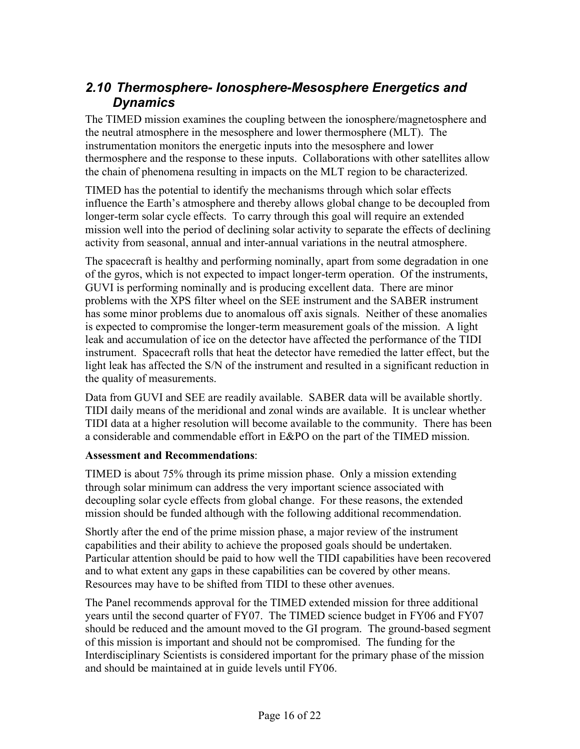### *2.10 Thermosphere- Ionosphere-Mesosphere Energetics and Dynamics*

The TIMED mission examines the coupling between the ionosphere/magnetosphere and the neutral atmosphere in the mesosphere and lower thermosphere (MLT). The instrumentation monitors the energetic inputs into the mesosphere and lower thermosphere and the response to these inputs. Collaborations with other satellites allow the chain of phenomena resulting in impacts on the MLT region to be characterized.

TIMED has the potential to identify the mechanisms through which solar effects influence the Earth's atmosphere and thereby allows global change to be decoupled from longer-term solar cycle effects. To carry through this goal will require an extended mission well into the period of declining solar activity to separate the effects of declining activity from seasonal, annual and inter-annual variations in the neutral atmosphere.

The spacecraft is healthy and performing nominally, apart from some degradation in one of the gyros, which is not expected to impact longer-term operation. Of the instruments, GUVI is performing nominally and is producing excellent data. There are minor problems with the XPS filter wheel on the SEE instrument and the SABER instrument has some minor problems due to anomalous off axis signals. Neither of these anomalies is expected to compromise the longer-term measurement goals of the mission. A light leak and accumulation of ice on the detector have affected the performance of the TIDI instrument. Spacecraft rolls that heat the detector have remedied the latter effect, but the light leak has affected the S/N of the instrument and resulted in a significant reduction in the quality of measurements.

Data from GUVI and SEE are readily available. SABER data will be available shortly. TIDI daily means of the meridional and zonal winds are available. It is unclear whether TIDI data at a higher resolution will become available to the community. There has been a considerable and commendable effort in E&PO on the part of the TIMED mission.

### **Assessment and Recommendations**:

TIMED is about 75% through its prime mission phase. Only a mission extending through solar minimum can address the very important science associated with decoupling solar cycle effects from global change. For these reasons, the extended mission should be funded although with the following additional recommendation.

Shortly after the end of the prime mission phase, a major review of the instrument capabilities and their ability to achieve the proposed goals should be undertaken. Particular attention should be paid to how well the TIDI capabilities have been recovered and to what extent any gaps in these capabilities can be covered by other means. Resources may have to be shifted from TIDI to these other avenues.

The Panel recommends approval for the TIMED extended mission for three additional years until the second quarter of FY07. The TIMED science budget in FY06 and FY07 should be reduced and the amount moved to the GI program. The ground-based segment of this mission is important and should not be compromised. The funding for the Interdisciplinary Scientists is considered important for the primary phase of the mission and should be maintained at in guide levels until FY06.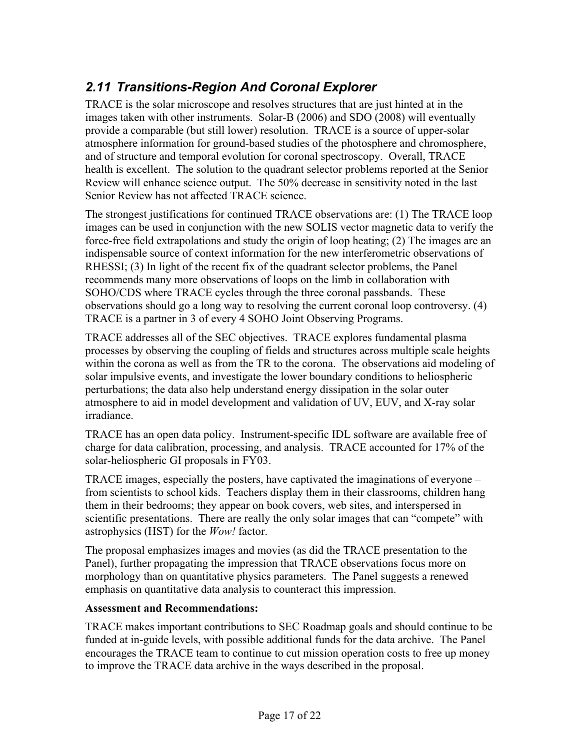# *2.11 Transitions-Region And Coronal Explorer*

TRACE is the solar microscope and resolves structures that are just hinted at in the images taken with other instruments. Solar-B (2006) and SDO (2008) will eventually provide a comparable (but still lower) resolution. TRACE is a source of upper-solar atmosphere information for ground-based studies of the photosphere and chromosphere, and of structure and temporal evolution for coronal spectroscopy. Overall, TRACE health is excellent. The solution to the quadrant selector problems reported at the Senior Review will enhance science output. The 50% decrease in sensitivity noted in the last Senior Review has not affected TRACE science.

The strongest justifications for continued TRACE observations are: (1) The TRACE loop images can be used in conjunction with the new SOLIS vector magnetic data to verify the force-free field extrapolations and study the origin of loop heating; (2) The images are an indispensable source of context information for the new interferometric observations of RHESSI; (3) In light of the recent fix of the quadrant selector problems, the Panel recommends many more observations of loops on the limb in collaboration with SOHO/CDS where TRACE cycles through the three coronal passbands. These observations should go a long way to resolving the current coronal loop controversy. (4) TRACE is a partner in 3 of every 4 SOHO Joint Observing Programs.

TRACE addresses all of the SEC objectives. TRACE explores fundamental plasma processes by observing the coupling of fields and structures across multiple scale heights within the corona as well as from the TR to the corona. The observations aid modeling of solar impulsive events, and investigate the lower boundary conditions to heliospheric perturbations; the data also help understand energy dissipation in the solar outer atmosphere to aid in model development and validation of UV, EUV, and X-ray solar irradiance.

TRACE has an open data policy. Instrument-specific IDL software are available free of charge for data calibration, processing, and analysis. TRACE accounted for 17% of the solar-heliospheric GI proposals in FY03.

TRACE images, especially the posters, have captivated the imaginations of everyone – from scientists to school kids. Teachers display them in their classrooms, children hang them in their bedrooms; they appear on book covers, web sites, and interspersed in scientific presentations. There are really the only solar images that can "compete" with astrophysics (HST) for the *Wow!* factor.

The proposal emphasizes images and movies (as did the TRACE presentation to the Panel), further propagating the impression that TRACE observations focus more on morphology than on quantitative physics parameters. The Panel suggests a renewed emphasis on quantitative data analysis to counteract this impression.

### **Assessment and Recommendations:**

TRACE makes important contributions to SEC Roadmap goals and should continue to be funded at in-guide levels, with possible additional funds for the data archive. The Panel encourages the TRACE team to continue to cut mission operation costs to free up money to improve the TRACE data archive in the ways described in the proposal.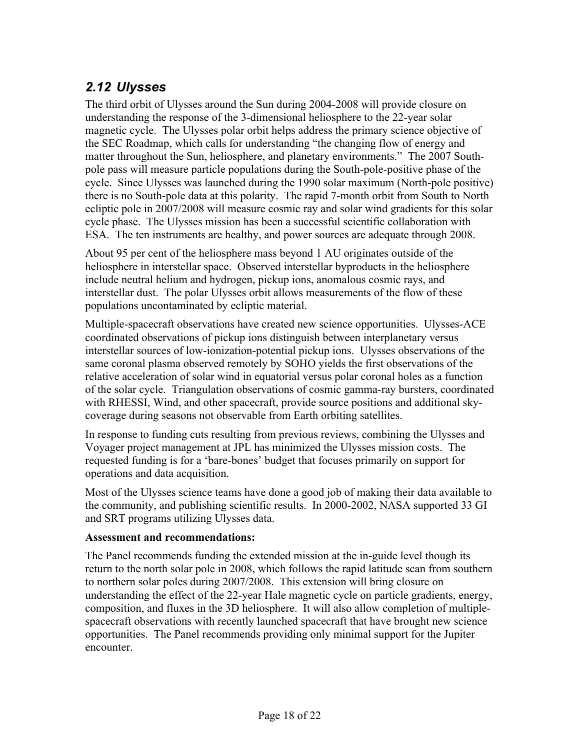# *2.12 Ulysses*

The third orbit of Ulysses around the Sun during 2004-2008 will provide closure on understanding the response of the 3-dimensional heliosphere to the 22-year solar magnetic cycle. The Ulysses polar orbit helps address the primary science objective of the SEC Roadmap, which calls for understanding "the changing flow of energy and matter throughout the Sun, heliosphere, and planetary environments." The 2007 Southpole pass will measure particle populations during the South-pole-positive phase of the cycle. Since Ulysses was launched during the 1990 solar maximum (North-pole positive) there is no South-pole data at this polarity. The rapid 7-month orbit from South to North ecliptic pole in 2007/2008 will measure cosmic ray and solar wind gradients for this solar cycle phase. The Ulysses mission has been a successful scientific collaboration with ESA. The ten instruments are healthy, and power sources are adequate through 2008.

About 95 per cent of the heliosphere mass beyond 1 AU originates outside of the heliosphere in interstellar space. Observed interstellar byproducts in the heliosphere include neutral helium and hydrogen, pickup ions, anomalous cosmic rays, and interstellar dust. The polar Ulysses orbit allows measurements of the flow of these populations uncontaminated by ecliptic material.

Multiple-spacecraft observations have created new science opportunities. Ulysses-ACE coordinated observations of pickup ions distinguish between interplanetary versus interstellar sources of low-ionization-potential pickup ions. Ulysses observations of the same coronal plasma observed remotely by SOHO yields the first observations of the relative acceleration of solar wind in equatorial versus polar coronal holes as a function of the solar cycle. Triangulation observations of cosmic gamma-ray bursters, coordinated with RHESSI, Wind, and other spacecraft, provide source positions and additional skycoverage during seasons not observable from Earth orbiting satellites.

In response to funding cuts resulting from previous reviews, combining the Ulysses and Voyager project management at JPL has minimized the Ulysses mission costs. The requested funding is for a 'bare-bones' budget that focuses primarily on support for operations and data acquisition.

Most of the Ulysses science teams have done a good job of making their data available to the community, and publishing scientific results. In 2000-2002, NASA supported 33 GI and SRT programs utilizing Ulysses data.

### **Assessment and recommendations:**

The Panel recommends funding the extended mission at the in-guide level though its return to the north solar pole in 2008, which follows the rapid latitude scan from southern to northern solar poles during 2007/2008. This extension will bring closure on understanding the effect of the 22-year Hale magnetic cycle on particle gradients, energy, composition, and fluxes in the 3D heliosphere. It will also allow completion of multiplespacecraft observations with recently launched spacecraft that have brought new science opportunities. The Panel recommends providing only minimal support for the Jupiter encounter.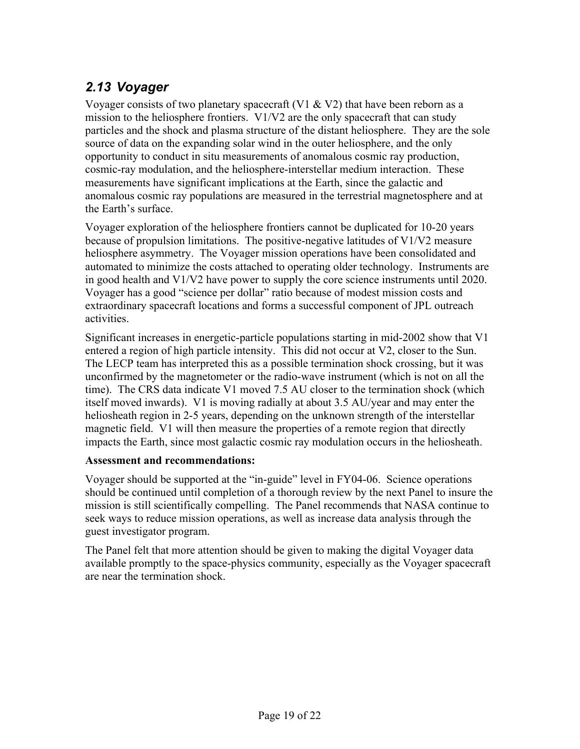# *2.13 Voyager*

Voyager consists of two planetary spacecraft (V1  $&$  V2) that have been reborn as a mission to the heliosphere frontiers. V1/V2 are the only spacecraft that can study particles and the shock and plasma structure of the distant heliosphere. They are the sole source of data on the expanding solar wind in the outer heliosphere, and the only opportunity to conduct in situ measurements of anomalous cosmic ray production, cosmic-ray modulation, and the heliosphere-interstellar medium interaction. These measurements have significant implications at the Earth, since the galactic and anomalous cosmic ray populations are measured in the terrestrial magnetosphere and at the Earth's surface.

Voyager exploration of the heliosphere frontiers cannot be duplicated for 10-20 years because of propulsion limitations. The positive-negative latitudes of V1/V2 measure heliosphere asymmetry. The Voyager mission operations have been consolidated and automated to minimize the costs attached to operating older technology. Instruments are in good health and V1/V2 have power to supply the core science instruments until 2020. Voyager has a good "science per dollar" ratio because of modest mission costs and extraordinary spacecraft locations and forms a successful component of JPL outreach activities.

Significant increases in energetic-particle populations starting in mid-2002 show that V1 entered a region of high particle intensity. This did not occur at V2, closer to the Sun. The LECP team has interpreted this as a possible termination shock crossing, but it was unconfirmed by the magnetometer or the radio-wave instrument (which is not on all the time). The CRS data indicate V1 moved 7.5 AU closer to the termination shock (which itself moved inwards). V1 is moving radially at about 3.5 AU/year and may enter the heliosheath region in 2-5 years, depending on the unknown strength of the interstellar magnetic field. V1 will then measure the properties of a remote region that directly impacts the Earth, since most galactic cosmic ray modulation occurs in the heliosheath.

### **Assessment and recommendations:**

Voyager should be supported at the "in-guide" level in FY04-06. Science operations should be continued until completion of a thorough review by the next Panel to insure the mission is still scientifically compelling. The Panel recommends that NASA continue to seek ways to reduce mission operations, as well as increase data analysis through the guest investigator program.

The Panel felt that more attention should be given to making the digital Voyager data available promptly to the space-physics community, especially as the Voyager spacecraft are near the termination shock.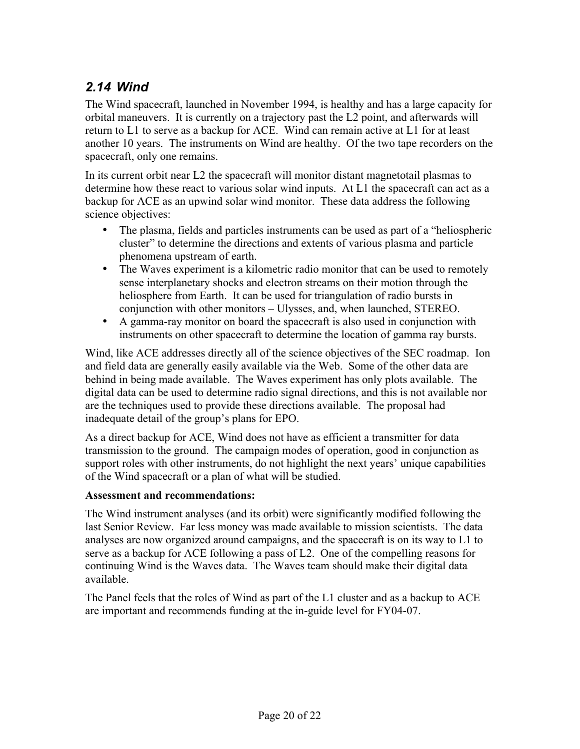### *2.14 Wind*

The Wind spacecraft, launched in November 1994, is healthy and has a large capacity for orbital maneuvers. It is currently on a trajectory past the L2 point, and afterwards will return to L1 to serve as a backup for ACE. Wind can remain active at L1 for at least another 10 years. The instruments on Wind are healthy. Of the two tape recorders on the spacecraft, only one remains.

In its current orbit near L2 the spacecraft will monitor distant magnetotail plasmas to determine how these react to various solar wind inputs. At L1 the spacecraft can act as a backup for ACE as an upwind solar wind monitor. These data address the following science objectives:

The plasma, fields and particles instruments can be used as part of a "heliospheric cluster" to determine the directions and extents of various plasma and particle phenomena upstream of earth.

The Waves experiment is a kilometric radio monitor that can be used to remotely sense interplanetary shocks and electron streams on their motion through the heliosphere from Earth. It can be used for triangulation of radio bursts in conjunction with other monitors – Ulysses, and, when launched, STEREO. A gamma-ray monitor on board the spacecraft is also used in conjunction with instruments on other spacecraft to determine the location of gamma ray bursts.

Wind, like ACE addresses directly all of the science objectives of the SEC roadmap. Ion and field data are generally easily available via the Web. Some of the other data are behind in being made available. The Waves experiment has only plots available. The digital data can be used to determine radio signal directions, and this is not available nor are the techniques used to provide these directions available. The proposal had inadequate detail of the group's plans for EPO.

As a direct backup for ACE, Wind does not have as efficient a transmitter for data transmission to the ground. The campaign modes of operation, good in conjunction as support roles with other instruments, do not highlight the next years' unique capabilities of the Wind spacecraft or a plan of what will be studied.

### **Assessment and recommendations:**

The Wind instrument analyses (and its orbit) were significantly modified following the last Senior Review. Far less money was made available to mission scientists. The data analyses are now organized around campaigns, and the spacecraft is on its way to L1 to serve as a backup for ACE following a pass of L2. One of the compelling reasons for continuing Wind is the Waves data. The Waves team should make their digital data available.

The Panel feels that the roles of Wind as part of the L1 cluster and as a backup to ACE are important and recommends funding at the in-guide level for FY04-07.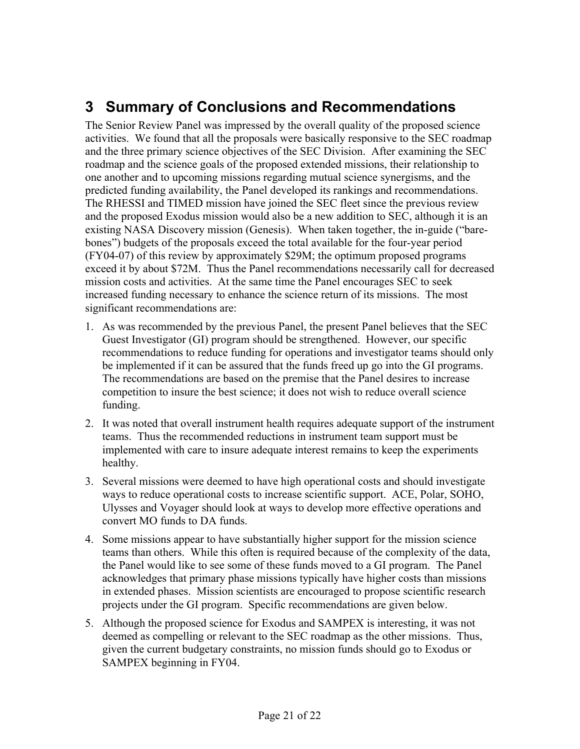# **3 Summary of Conclusions and Recommendations**

The Senior Review Panel was impressed by the overall quality of the proposed science activities. We found that all the proposals were basically responsive to the SEC roadmap and the three primary science objectives of the SEC Division. After examining the SEC roadmap and the science goals of the proposed extended missions, their relationship to one another and to upcoming missions regarding mutual science synergisms, and the predicted funding availability, the Panel developed its rankings and recommendations. The RHESSI and TIMED mission have joined the SEC fleet since the previous review and the proposed Exodus mission would also be a new addition to SEC, although it is an existing NASA Discovery mission (Genesis). When taken together, the in-guide ("barebones") budgets of the proposals exceed the total available for the four-year period (FY04-07) of this review by approximately \$29M; the optimum proposed programs exceed it by about \$72M. Thus the Panel recommendations necessarily call for decreased mission costs and activities. At the same time the Panel encourages SEC to seek increased funding necessary to enhance the science return of its missions. The most significant recommendations are:

- 1. As was recommended by the previous Panel, the present Panel believes that the SEC Guest Investigator (GI) program should be strengthened. However, our specific recommendations to reduce funding for operations and investigator teams should only be implemented if it can be assured that the funds freed up go into the GI programs. The recommendations are based on the premise that the Panel desires to increase competition to insure the best science; it does not wish to reduce overall science funding.
- 2. It was noted that overall instrument health requires adequate support of the instrument teams. Thus the recommended reductions in instrument team support must be implemented with care to insure adequate interest remains to keep the experiments healthy.
- 3. Several missions were deemed to have high operational costs and should investigate ways to reduce operational costs to increase scientific support. ACE, Polar, SOHO, Ulysses and Voyager should look at ways to develop more effective operations and convert MO funds to DA funds.
- 4. Some missions appear to have substantially higher support for the mission science teams than others. While this often is required because of the complexity of the data, the Panel would like to see some of these funds moved to a GI program. The Panel acknowledges that primary phase missions typically have higher costs than missions in extended phases. Mission scientists are encouraged to propose scientific research projects under the GI program. Specific recommendations are given below.
- 5. Although the proposed science for Exodus and SAMPEX is interesting, it was not deemed as compelling or relevant to the SEC roadmap as the other missions. Thus, given the current budgetary constraints, no mission funds should go to Exodus or SAMPEX beginning in FY04.